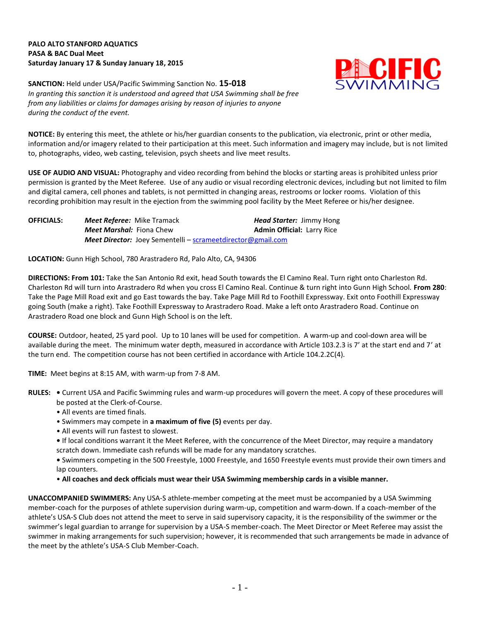## **PALO ALTO STANFORD AQUATICS PASA & BAC Dual Meet Saturday January 17 & Sunday January 18, 2015**



**SANCTION:** Held under USA/Pacific Swimming Sanction No. **15-018** *In granting this sanction it is understood and agreed that USA Swimming shall be free from any liabilities or claims for damages arising by reason of injuries to anyone during the conduct of the event.*

**NOTICE:** By entering this meet, the athlete or his/her guardian consents to the publication, via electronic, print or other media, information and/or imagery related to their participation at this meet. Such information and imagery may include, but is not limited to, photographs, video, web casting, television, psych sheets and live meet results.

**USE OF AUDIO AND VISUAL:** Photography and video recording from behind the blocks or starting areas is prohibited unless prior permission is granted by the Meet Referee. Use of any audio or visual recording electronic devices, including but not limited to film and digital camera, cell phones and tablets, is not permitted in changing areas, restrooms or locker rooms. Violation of this recording prohibition may result in the ejection from the swimming pool facility by the Meet Referee or his/her designee.

**OFFICIALS:** *Meet Referee:* Mike Tramack *Head Starter:* Jimmy Hong *Meet Marshal:* Fiona Chew **Admin Official:** Larry Rice *Meet Director:* Joey Sementelli – [scrameetdirector@gmail.com](mailto:scrameetdirector@gmail.com)

**LOCATION:** Gunn High School, 780 Arastradero Rd, Palo Alto, CA, 94306

**DIRECTIONS: From 101:** Take the San Antonio Rd exit, head South towards the El Camino Real. Turn right onto Charleston Rd. Charleston Rd will turn into Arastradero Rd when you cross El Camino Real. Continue & turn right into Gunn High School. **From 280**: Take the Page Mill Road exit and go East towards the bay. Take Page Mill Rd to Foothill Expressway. Exit onto Foothill Expressway going South (make a right). Take Foothill Expressway to Arastradero Road. Make a left onto Arastradero Road. Continue on Arastradero Road one block and Gunn High School is on the left.

**COURSE:** Outdoor, heated, 25 yard pool.Up to 10 lanes will be used for competition. A warm-up and cool-down area will be available during the meet. The minimum water depth, measured in accordance with Article 103.2.3 is 7' at the start end and 7' at the turn end. The competition course has not been certified in accordance with Article 104.2.2C(4).

**TIME:** Meet begins at 8:15 AM, with warm-up from 7-8 AM.

- **RULES:** Current USA and Pacific Swimming rules and warm-up procedures will govern the meet. A copy of these procedures will be posted at the Clerk-of-Course.
	- All events are timed finals.
	- Swimmers may compete in **a maximum of five (5)** events per day.
	- All events will run fastest to slowest.

**•** If local conditions warrant it the Meet Referee, with the concurrence of the Meet Director, may require a mandatory scratch down. Immediate cash refunds will be made for any mandatory scratches.

**•** Swimmers competing in the 500 Freestyle, 1000 Freestyle, and 1650 Freestyle events must provide their own timers and lap counters.

• **All coaches and deck officials must wear their USA Swimming membership cards in a visible manner.** 

**UNACCOMPANIED SWIMMERS:** Any USA-S athlete-member competing at the meet must be accompanied by a USA Swimming member-coach for the purposes of athlete supervision during warm-up, competition and warm-down. If a coach-member of the athlete's USA-S Club does not attend the meet to serve in said supervisory capacity, it is the responsibility of the swimmer or the swimmer's legal guardian to arrange for supervision by a USA-S member-coach. The Meet Director or Meet Referee may assist the swimmer in making arrangements for such supervision; however, it is recommended that such arrangements be made in advance of the meet by the athlete's USA-S Club Member-Coach.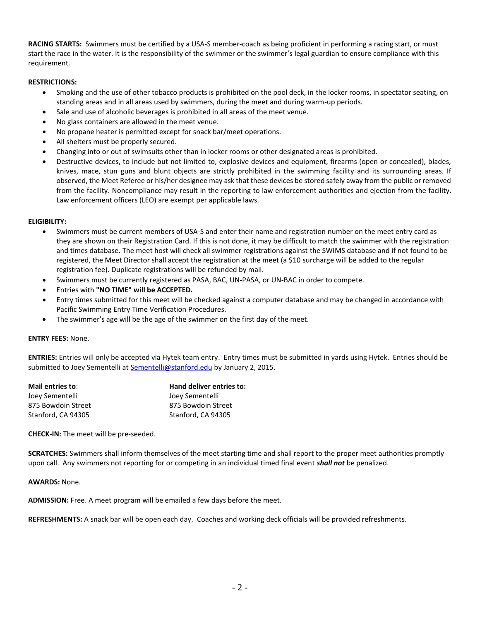**RACING STARTS:** Swimmers must be certified by a USA-S member-coach as being proficient in performing a racing start, or must start the race in the water. It is the responsibility of the swimmer or the swimmer's legal guardian to ensure compliance with this requirement.

## **RESTRICTIONS:**

- Smoking and the use of other tobacco products is prohibited on the pool deck, in the locker rooms, in spectator seating, on standing areas and in all areas used by swimmers, during the meet and during warm-up periods.
- Sale and use of alcoholic beverages is prohibited in all areas of the meet venue.
- No glass containers are allowed in the meet venue.
- No propane heater is permitted except for snack bar/meet operations.
- All shelters must be properly secured.
- Changing into or out of swimsuits other than in locker rooms or other designated areas is prohibited.
- Destructive devices, to include but not limited to, explosive devices and equipment, firearms (open or concealed), blades, knives, mace, stun guns and blunt objects are strictly prohibited in the swimming facility and its surrounding areas. If observed, the Meet Referee or his/her designee may ask that these devices be stored safely away from the public or removed from the facility. Noncompliance may result in the reporting to law enforcement authorities and ejection from the facility. Law enforcement officers (LEO) are exempt per applicable laws.

## **ELIGIBILITY:**

- Swimmers must be current members of USA-S and enter their name and registration number on the meet entry card as they are shown on their Registration Card. If this is not done, it may be difficult to match the swimmer with the registration and times database. The meet host will check all swimmer registrations against the SWIMS database and if not found to be registered, the Meet Director shall accept the registration at the meet (a \$10 surcharge will be added to the regular registration fee). Duplicate registrations will be refunded by mail.
- Swimmers must be currently registered as PASA, BAC, UN-PASA, or UN-BAC in order to compete.
- Entries with **"NO TIME" will be ACCEPTED.**
- Entry times submitted for this meet will be checked against a computer database and may be changed in accordance with Pacific Swimming Entry Time Verification Procedures.
- The swimmer's age will be the age of the swimmer on the first day of the meet.

## **ENTRY FEES:** None.

**ENTRIES:** Entries will only be accepted via Hytek team entry. Entry times must be submitted in yards using Hytek. Entries should be submitted to Joey Sementelli a[t Sementelli@stanford.edu](mailto:Sementelli@stanford.edu) by January 2, 2015.

| Mail entries to:   | Hand deliver entries to: |
|--------------------|--------------------------|
| Joev Sementelli    | Joey Sementelli          |
| 875 Bowdoin Street | 875 Bowdoin Street       |
| Stanford, CA 94305 | Stanford. CA 94305       |

**CHECK-IN:** The meet will be pre-seeded.

**SCRATCHES:** Swimmers shall inform themselves of the meet starting time and shall report to the proper meet authorities promptly upon call. Any swimmers not reporting for or competing in an individual timed final event *shall not* be penalized.

**AWARDS:** None.

**ADMISSION:** Free. A meet program will be emailed a few days before the meet.

**REFRESHMENTS:** A snack bar will be open each day. Coaches and working deck officials will be provided refreshments.